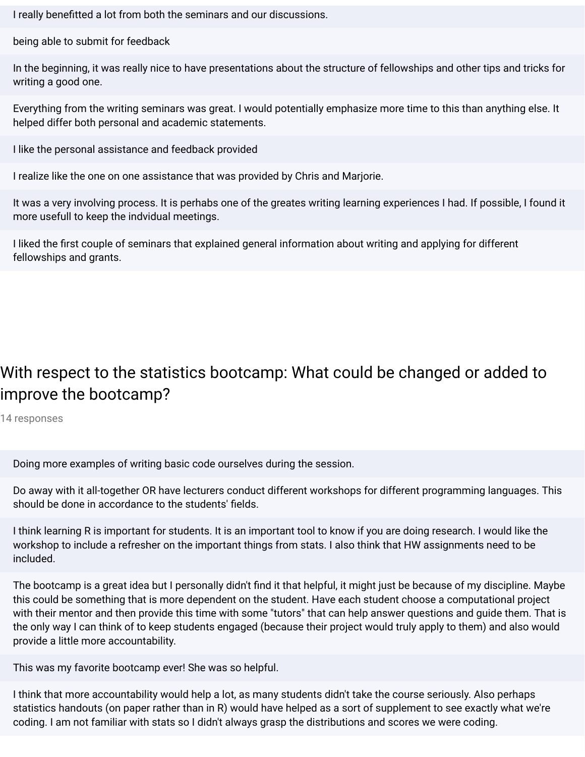I really benefitted a lot from both the seminars and our discussions.

being able to submit for feedback

In the beginning, it was really nice to have presentations about the structure of fellowships and other tips and tricks for writing a good one.

Everything from the writing seminars was great. I would potentially emphasize more time to this than anything else. It helped differ both personal and academic statements.

I like the personal assistance and feedback provided

I realize like the one on one assistance that was provided by Chris and Marjorie.

It was a very involving process. It is perhabs one of the greates writing learning experiences I had. If possible, I found it more usefull to keep the indvidual meetings.

I liked the first couple of seminars that explained general information about writing and applying for different fellowships and grants.

## With respect to the statistics bootcamp: What could be changed or added to improve the bootcamp?

14 responses

Doing more examples of writing basic code ourselves during the session.

Do away with it all-together OR have lecturers conduct different workshops for different programming languages. This should be done in accordance to the students' fields.

I think learning R is important for students. It is an important tool to know if you are doing research. I would like the workshop to include a refresher on the important things from stats. I also think that HW assignments need to be included.

The bootcamp is a great idea but I personally didn't find it that helpful, it might just be because of my discipline. Maybe this could be something that is more dependent on the student. Have each student choose a computational project with their mentor and then provide this time with some "tutors" that can help answer questions and guide them. That is the only way I can think of to keep students engaged (because their project would truly apply to them) and also would provide a little more accountability.

This was my favorite bootcamp ever! She was so helpful.

I think that more accountability would help a lot, as many students didn't take the course seriously. Also perhaps statistics handouts (on paper rather than in R) would have helped as a sort of supplement to see exactly what we're coding. I am not familiar with stats so I didn't always grasp the distributions and scores we were coding.